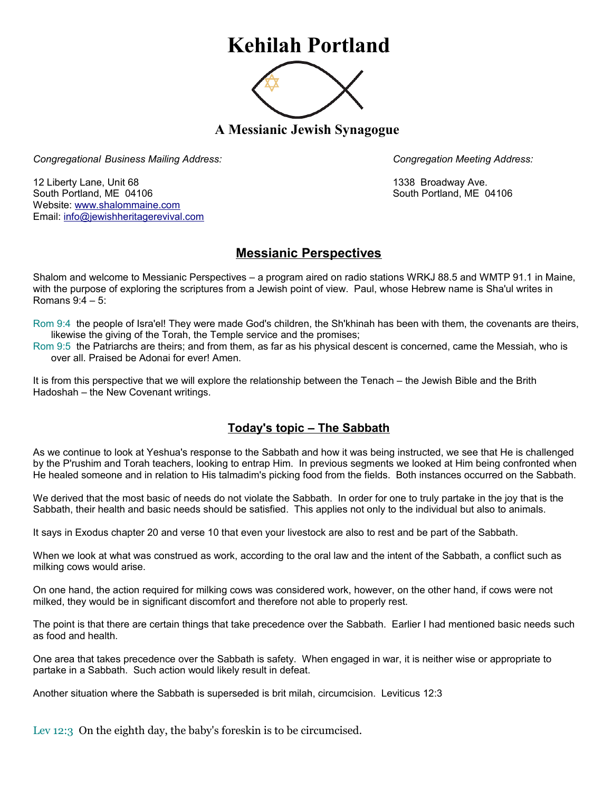## **Kehilah Portland**



**A Messianic Jewish Synagogue** 

*Congregational Business Mailing Address: Congregation Meeting Address:*

12 Liberty Lane, Unit 68 1338 Broadway Ave. South Portland, ME 04106 South Portland, ME 04106 Website: [www.shalommaine.com](http://www.shalommaine.com/) Email: [info@jewishheritagerevival.com](mailto:info@jewishheritagerevival.com) 

## **Messianic Perspectives**

Shalom and welcome to Messianic Perspectives – a program aired on radio stations WRKJ 88.5 and WMTP 91.1 in Maine, with the purpose of exploring the scriptures from a Jewish point of view. Paul, whose Hebrew name is Sha'ul writes in Romans 9:4 – 5:

Rom 9:4 the people of Isra'el! They were made God's children, the Sh'khinah has been with them, the covenants are theirs, likewise the giving of the Torah, the Temple service and the promises;

Rom 9:5 the Patriarchs are theirs; and from them, as far as his physical descent is concerned, came the Messiah, who is over all. Praised be Adonai for ever! Amen.

It is from this perspective that we will explore the relationship between the Tenach – the Jewish Bible and the Brith Hadoshah – the New Covenant writings.

## **Today's topic – The Sabbath**

As we continue to look at Yeshua's response to the Sabbath and how it was being instructed, we see that He is challenged by the P'rushim and Torah teachers, looking to entrap Him. In previous segments we looked at Him being confronted when He healed someone and in relation to His talmadim's picking food from the fields. Both instances occurred on the Sabbath.

We derived that the most basic of needs do not violate the Sabbath. In order for one to truly partake in the joy that is the Sabbath, their health and basic needs should be satisfied. This applies not only to the individual but also to animals.

It says in Exodus chapter 20 and verse 10 that even your livestock are also to rest and be part of the Sabbath.

When we look at what was construed as work, according to the oral law and the intent of the Sabbath, a conflict such as milking cows would arise.

On one hand, the action required for milking cows was considered work, however, on the other hand, if cows were not milked, they would be in significant discomfort and therefore not able to properly rest.

The point is that there are certain things that take precedence over the Sabbath. Earlier I had mentioned basic needs such as food and health.

One area that takes precedence over the Sabbath is safety. When engaged in war, it is neither wise or appropriate to partake in a Sabbath. Such action would likely result in defeat.

Another situation where the Sabbath is superseded is brit milah, circumcision. Leviticus 12:3

Lev 12:3 On the eighth day, the baby's foreskin is to be circumcised.